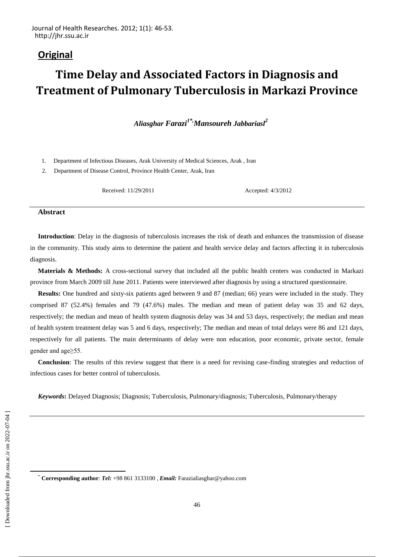# **Original**

# **Time Delay and Associated Factors in Diagnosis and Treatment of Pulmonary Tuberculosis in Markazi Province**

*Aliasghar Farazi1\*,Mansoureh Jabbariasl<sup>2</sup>*

1. Department of Infectious Diseases, Arak University of Medical Sciences, Arak , Iran

2. Department of Disease Control, Province Health Center, Arak, Iran

Received: 11/29/2011 Accepted: 4/3/2012

#### **Abstract**

**Introduction**: Delay in the diagnosis of tuberculosis increases the risk of death and enhances the transmission of disease in the community. This study aims to determine the patient and health service delay and factors affecting it in tuberculosis diagnosis.

**Materials & Methods:** A cross-sectional survey that included all the public health centers was conducted in Markazi province from March 2009 till June 2011. Patients were interviewed after diagnosis by using a structured questionnaire.

**Results:** One hundred and sixty-six patients aged between 9 and 87 (median; 66) years were included in the study. They comprised 87 (52.4%) females and 79 (47.6%) males. The median and mean of patient delay was 35 and 62 days, respectively; the median and mean of health system diagnosis delay was 34 and 53 days, respectively; the median and mean of health system treatment delay was 5 and 6 days, respectively; The median and mean of total delays were 86 and 121 days, respectively for all patients. The main determinants of delay were non education, poor economic, private sector, female gender and age≥55.

**Conclusion**: The results of this review suggest that there is a need for revising case-finding strategies and reduction of infectious cases for better control of tuberculosis.

*Keywords***:** Delayed Diagnosis; Diagnosis; Tuberculosis, Pulmonary/diagnosis; Tuberculosis, Pulmonary/therapy

 $\overline{a}$ 

<sup>\*</sup> **Corresponding author**: *Tel:* +98 861 3133100 , *Email:* [Farazialiasghar@yahoo.com](mailto:Farazialiasghar@yahoo.com)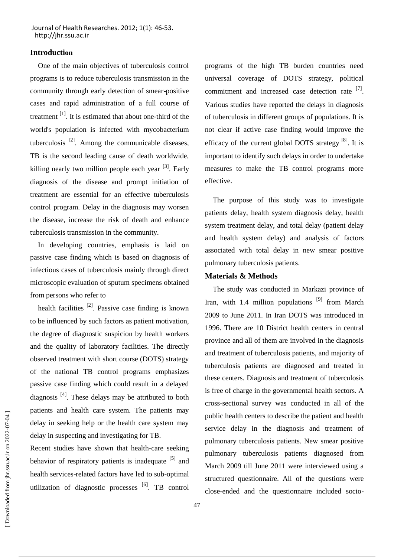# **Introduction**

One of the main objectives of tuberculosis control programs is to reduce tuberculosis transmission in the community through early detection of smear-positive cases and rapid administration of a full course of treatment  $\left[1\right]$ . It is estimated that about one-third of the world's population is infected with mycobacterium tuberculosis  $^{[2]}$ . Among the communicable diseases, TB is the second leading cause of death worldwide, killing nearly two million people each year  $[3]$ . Early diagnosis of the disease and prompt initiation of treatment are essential for an effective tuberculosis control program. Delay in the diagnosis may worsen the disease, increase the risk of death and enhance tuberculosis transmission in the community.

In developing countries, emphasis is laid on passive case finding which is based on diagnosis of infectious cases of tuberculosis mainly through direct microscopic evaluation of sputum specimens obtained from persons who refer to

health facilities  $^{[2]}$ . Passive case finding is known to be influenced by such factors as patient motivation, the degree of diagnostic suspicion by health workers and the quality of laboratory facilities. The directly observed treatment with short course (DOTS) strategy of the national TB control programs emphasizes passive case finding which could result in a delayed diagnosis  $^{[4]}$ . These delays may be attributed to both patients and health care system. The patients may delay in seeking help or the health care system may delay in suspecting and investigating for TB.

Recent studies have shown that health-care seeking behavior of respiratory patients is inadequate [5] and health services-related factors have led to sub-optimal utilization of diagnostic processes <sup>[6]</sup>. TB control programs of the high TB burden countries need universal coverage of DOTS strategy, political commitment and increased case detection rate [7]. Various studies have reported the delays in diagnosis of tuberculosis in different groups of populations. It is not clear if active case finding would improve the efficacy of the current global DOTS strategy  $[8]$ . It is important to identify such delays in order to undertake measures to make the TB control programs more effective.

The purpose of this study was to investigate patients delay, health system diagnosis delay, health system treatment delay, and total delay (patient delay and health system delay) and analysis of factors associated with total delay in new smear positive pulmonary tuberculosis patients.

# **Materials & Methods**

The study was conducted in Markazi province of Iran, with 1.4 million populations <sup>[9]</sup> from March 2009 to June 2011. In Iran DOTS was introduced in 1996. There are 10 District health centers in central province and all of them are involved in the diagnosis and treatment of tuberculosis patients, and majority of tuberculosis patients are diagnosed and treated in these centers. Diagnosis and treatment of tuberculosis is free of charge in the governmental health sectors. A cross-sectional survey was conducted in all of the public health centers to describe the patient and health service delay in the diagnosis and treatment of pulmonary tuberculosis patients. New smear positive pulmonary tuberculosis patients diagnosed from March 2009 till June 2011 were interviewed using a structured questionnaire. All of the questions were close-ended and the questionnaire included socio-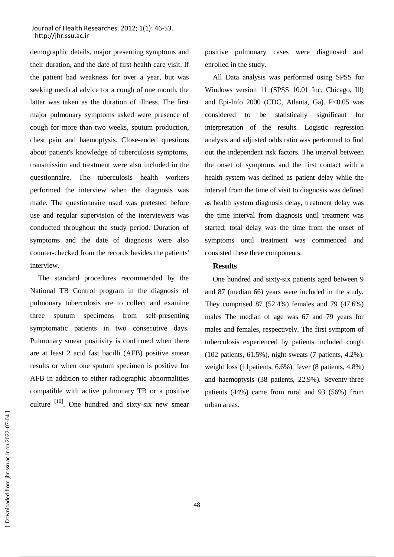demographic details, major presenting symptoms and their duration, and the date of first health care visit. If the patient had weakness for over a year, but was seeking medical advice for a cough of one month, the latter was taken as the duration of illness. The first major pulmonary symptoms asked were presence of cough for more than two weeks, sputum production, chest pain and haemoptysis. Close-ended questions about patient's knowledge of tuberculosis symptoms, transmission and treatment were also included in the questionnaire. The tuberculosis health workers performed the interview when the diagnosis was made. The questionnaire used was pretested before use and regular supervision of the interviewers was conducted throughout the study period. Duration of symptoms and the date of diagnosis were also counter-checked from the records besides the patients' interview.

The standard procedures recommended by the National TB Control program in the diagnosis of pulmonary tuberculosis are to collect and examine three sputum specimens from self-presenting symptomatic patients in two consecutive days. Pulmonary smear positivity is confirmed when there are at least 2 acid fast bacilli (AFB) positive smear results or when one sputum specimen is positive for AFB in addition to either radiographic abnormalities compatible with active pulmonary TB or a positive culture  $\begin{bmatrix} 10 \\ 0 \end{bmatrix}$ . One hundred and sixty-six new smear positive pulmonary cases were diagnosed and enrolled in the study.

All Data analysis was performed using SPSS for Windows version 11 (SPSS 10.01 Inc, Chicago, Ill) and Epi-Info 2000 (CDC, Atlanta, Ga). P<0.05 was considered to be statistically significant for interpretation of the results. Logistic regression analysis and adjusted odds ratio was performed to find out the independent risk factors. The interval between the onset of symptoms and the first contact with a health system was defined as patient delay while the interval from the time of visit to diagnosis was defined as health system diagnosis delay, treatment delay was the time interval from diagnosis until treatment was started; total delay was the time from the onset of symptoms until treatment was commenced and consisted these three components.

#### **Results**

One hundred and sixty-six patients aged between 9 and 87 (median 66) years were included in the study. They comprised 87 (52.4%) females and 79 (47.6%) males The median of age was 67 and 79 years for males and females, respectively. The first symptom of tuberculosis experienced by patients included cough (102 patients, 61.5%), night sweats (7 patients, 4.2%), weight loss (11patients, 6.6%), fever (8 patients, 4.8%) and haemoptysis (38 patients, 22.9%). Seventy-three patients (44%) came from rural and 93 (56%) from urban areas.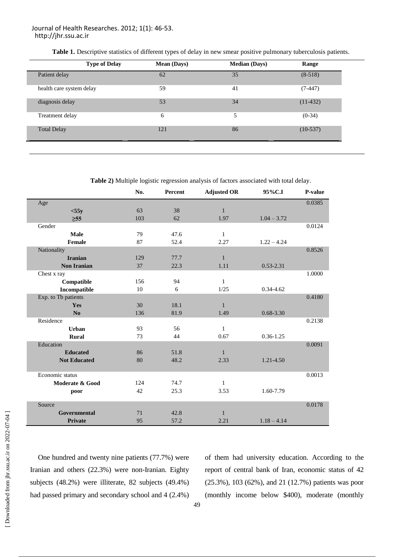**Table 1.** Descriptive statistics of different types of delay in new smear positive pulmonary tuberculosis patients.

| <b>Type of Delay</b>     | <b>Mean (Days)</b> | <b>Median (Days)</b> | Range      |
|--------------------------|--------------------|----------------------|------------|
| Patient delay            | 62                 | 35                   | $(8-518)$  |
| health care system delay | 59                 | 41                   | $(7-447)$  |
| diagnosis delay          | 53                 | 34                   | $(11-432)$ |
| Treatment delay          | 6                  | 5                    | $(0-34)$   |
| <b>Total Delay</b>       | 121                | 86                   | $(10-537)$ |

**Table 2)** Multiple logistic regression analysis of factors associated with total delay.

|                     | No. | Percent | <b>Adjusted OR</b> | 95%C.I        | P-value |
|---------------------|-----|---------|--------------------|---------------|---------|
| Age                 |     |         |                    |               | 0.0385  |
| $<$ 55y             | 63  | 38      | $\mathbf{1}$       |               |         |
| $\geq 55$           | 103 | 62      | 1.97               | $1.04 - 3.72$ |         |
| Gender              |     |         |                    |               | 0.0124  |
| Male                | 79  | 47.6    | $\mathbf{1}$       |               |         |
| Female              | 87  | 52.4    | 2.27               | $1.22 - 4.24$ |         |
| Nationality         |     |         |                    |               | 0.8526  |
| <b>Iranian</b>      | 129 | 77.7    | $\mathbf{1}$       |               |         |
| <b>Non Iranian</b>  | 37  | 22.3    | 1.11               | $0.53 - 2.31$ |         |
| Chest x ray         |     |         |                    |               | 1.0000  |
| Compatible          | 156 | 94      | $\mathbf{1}$       |               |         |
| Incompatible        | 10  | 6       | 1/25               | $0.34 - 4.62$ |         |
| Exp. to Tb patients |     |         |                    |               | 0.4180  |
| Yes                 | 30  | 18.1    | $\mathbf{1}$       |               |         |
| N <sub>0</sub>      | 136 | 81.9    | 1.49               | $0.68 - 3.30$ |         |
| Residence           |     |         |                    |               | 0.2138  |
| <b>Urban</b>        | 93  | 56      | $\mathbf{1}$       |               |         |
| <b>Rural</b>        | 73  | 44      | 0.67               | $0.36 - 1.25$ |         |
| Education           |     |         |                    |               | 0.0091  |
| <b>Educated</b>     | 86  | 51.8    | $\mathbf{1}$       |               |         |
| <b>Not Educated</b> | 80  | 48.2    | 2.33               | 1.21-4.50     |         |
| Economic status     |     |         |                    |               | 0.0013  |
| Moderate & Good     | 124 | 74.7    | $\mathbf{1}$       |               |         |
| poor                | 42  | 25.3    | 3.53               | 1.60-7.79     |         |
| Source              |     |         |                    |               | 0.0178  |
| Governmental        | 71  | 42.8    | $\mathbf{1}$       |               |         |
| <b>Private</b>      | 95  | 57.2    | 2.21               | $1.18 - 4.14$ |         |

One hundred and twenty nine patients (77.7%) were Iranian and others (22.3%) were non-Iranian. Eighty subjects (48.2%) were illiterate, 82 subjects (49.4%) had passed primary and secondary school and 4 (2.4%) of them had university education. According to the report of central bank of Iran, economic status of 42 (25.3%), 103 (62%), and 21 (12.7%) patients was poor (monthly income below \$400), moderate (monthly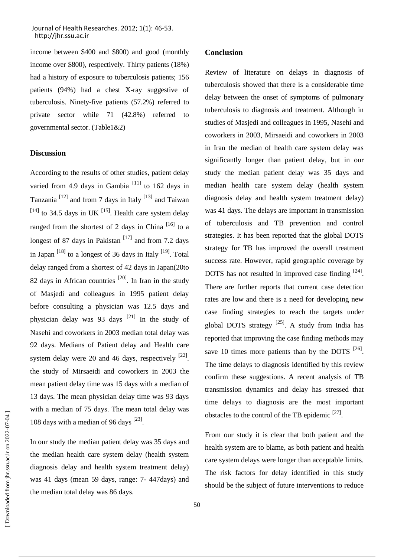income between \$400 and \$800) and good (monthly income over \$800), respectively. Thirty patients (18%) had a history of exposure to tuberculosis patients; 156 patients (94%) had a chest X-ray suggestive of tuberculosis. Ninety-five patients (57.2%) referred to private sector while 71 (42.8%) referred to governmental sector. (Table1&2)

# **Discussion**

According to the results of other studies, patient delay varied from 4.9 days in Gambia  $^{[11]}$  to 162 days in Tanzania<sup>[12]</sup> and from 7 days in Italy<sup>[13]</sup> and Taiwan  $^{[14]}$  to 34.5 days in UK  $^{[15]}$ . Health care system delay ranged from the shortest of 2 days in China  $[16]$  to a longest of 87 days in Pakistan  $[17]$  and from 7.2 days in Japan  $^{[18]}$  to a longest of 36 days in Italy  $^{[19]}$ . Total delay ranged from a shortest of 42 days in Japan(20to 82 days in African countries  $[20]$ . In Iran in the study of Masjedi and colleagues in 1995 patient delay before consulting a physician was 12.5 days and physician delay was 93 days  $[21]$  In the study of Nasehi and coworkers in 2003 median total delay was 92 days. Medians of Patient delay and Health care system delay were 20 and 46 days, respectively  $[22]$ . the study of Mirsaeidi and coworkers in 2003 the mean patient delay time was 15 days with a median of 13 days. The mean physician delay time was 93 days with a median of 75 days. The mean total delay was 108 days with a median of 96 days [23].

In our study the median patient delay was 35 days and the median health care system delay (health system diagnosis delay and health system treatment delay) was 41 days (mean 59 days, range: 7- 447days) and the median total delay was 86 days.

# **Conclusion**

Review of literature on delays in diagnosis of tuberculosis showed that there is a considerable time delay between the onset of symptoms of pulmonary tuberculosis to diagnosis and treatment. Although in studies of Masjedi and colleagues in 1995, Nasehi and coworkers in 2003, Mirsaeidi and coworkers in 2003 in Iran the median of health care system delay was significantly longer than patient delay, but in our study the median patient delay was 35 days and median health care system delay (health system diagnosis delay and health system treatment delay) was 41 days. The delays are important in transmission of tuberculosis and TB prevention and control strategies. It has been reported that the global DOTS strategy for TB has improved the overall treatment success rate. However, rapid geographic coverage by DOTS has not resulted in improved case finding  $[24]$ . There are further reports that current case detection rates are low and there is a need for developing new case finding strategies to reach the targets under global DOTS strategy  $^{[25]}$ . A study from India has reported that improving the case finding methods may save 10 times more patients than by the DOTS  $^{[26]}$ . The time delays to diagnosis identified by this review confirm these suggestions. A recent analysis of TB transmission dynamics and delay has stressed that time delays to diagnosis are the most important obstacles to the control of the TB epidemic  $^{[27]}$ .

From our study it is clear that both patient and the health system are to blame, as both patient and health care system delays were longer than acceptable limits. The risk factors for delay identified in this study should be the subject of future interventions to reduce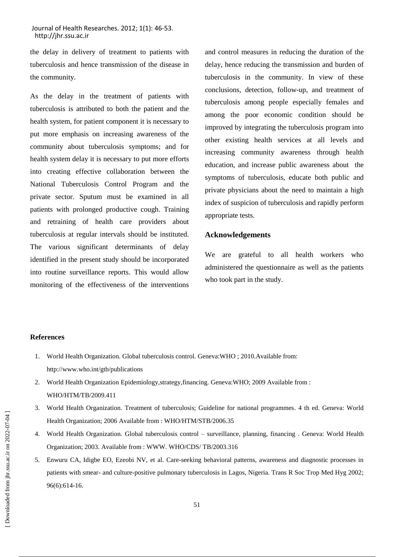the delay in delivery of treatment to patients with tuberculosis and hence transmission of the disease in the community.

As the delay in the treatment of patients with tuberculosis is attributed to both the patient and the health system, for patient component it is necessary to put more emphasis on increasing awareness of the community about tuberculosis symptoms; and for health system delay it is necessary to put more efforts into creating effective collaboration between the National Tuberculosis Control Program and the private sector. Sputum must be examined in all patients with prolonged productive cough. Training and retraining of health care providers about tuberculosis at regular intervals should be instituted. The various significant determinants of delay identified in the present study should be incorporated into routine surveillance reports. This would allow monitoring of the effectiveness of the interventions

and control measures in reducing the duration of the delay, hence reducing the transmission and burden of tuberculosis in the community. In view of these conclusions, detection, follow-up, and treatment of tuberculosis among people especially females and among the poor economic condition should be improved by integrating the tuberculosis program into other existing health services at all levels and increasing community awareness through health education, and increase public awareness about the symptoms of tuberculosis, educate both public and private physicians about the need to maintain a high index of suspicion of tuberculosis and rapidly perform appropriate tests.

# **Acknowledgements**

We are grateful to all health workers who administered the questionnaire as well as the patients who took part in the study.

#### **References**

- 1. World Health Organization. Global tuberculosis control. Geneva:WHO ; 2010.Available from: http://www.who.int/gtb/publications
- 2. World Health Organization Epidemiology,strategy,financing. Geneva:WHO; 2009 Available from : WHO/HTM/TB/2009.411
- 3. World Health Organization. Treatment of tuberculosis; Guideline for national programmes. 4 th ed. Geneva: World Health Organization; 2006 Available from : WHO/HTM/STB/2006.35
- 4. World Health Organization. Global tuberculosis control surveillance, planning, financing . Geneva: World Health Organization; 2003. Available from : WWW. WHO/CDS/ TB/2003.316
- 5. Enwuru CA, Idigbe EO, Ezeobi NV, et al. Care-seeking behavioral patterns, awareness and diagnostic processes in patients with smear- and culture-positive pulmonary tuberculosis in Lagos, Nigeria. Trans R Soc Trop Med Hyg 2002; 96(6):614-16.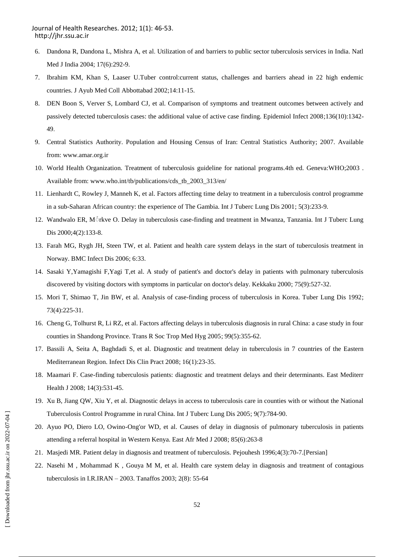- 6. Dandona R, Dandona L, Mishra A, et al. Utilization of and barriers to public sector tuberculosis services in India. Natl Med J India 2004; 17(6):292-9.
- 7. Ibrahim KM, Khan S, Laaser U.Tuber control:current status, challenges and barriers ahead in 22 high endemic countries. J Ayub Med Coll Abbottabad 2002;14:11-15.
- 8. DEN Boon S, Verver S, Lombard CJ, et al. Comparison of symptoms and treatment outcomes between actively and passively detected tuberculosis cases: the additional value of active case finding. Epidemiol Infect 2008;136(10):1342- 49.
- 9. Central Statistics Authority. Population and Housing Census of Iran: Central Statistics Authority; 2007. Available from: www.amar.org.ir
- 10. World Health Organization. Treatment of tuberculosis guideline for national programs.4th ed. Geneva:WHO;2003 . Available from: www.who.int/tb/publications/cds\_tb\_2003\_313/en/
- 11. Lienhardt C, Rowley J, Manneh K, et al. Factors affecting time delay to treatment in a tuberculosis control programme in a sub-Saharan African country: the experience of The Gambia. Int J Tuberc Lung Dis 2001; 5(3):233-9.
- 12. Wandwalo ER, Mّ rkve O. Delay in tuberculosis case-finding and treatment in Mwanza, Tanzania. Int J Tuberc Lung Dis 2000;4(2):133-8.
- 13. Farah MG, Rygh JH, Steen TW, et al. Patient and health care system delays in the start of tuberculosis treatment in Norway. BMC Infect Dis 2006; 6:33.
- 14. Sasaki Y,Yamagishi F,Yagi T,et al. A study of patient's and doctor's delay in patients with pulmonary tuberculosis discovered by visiting doctors with symptoms in particular on doctor's delay. Kekkaku 2000; 75(9):527-32.
- 15. Mori T, Shimao T, Jin BW, et al. Analysis of case-finding process of tuberculosis in Korea. Tuber Lung Dis 1992; 73(4):225-31.
- 16. Cheng G, Tolhurst R, Li RZ, et al. Factors affecting delays in tuberculosis diagnosis in rural China: a case study in four counties in Shandong Province. Trans R Soc Trop Med Hyg 2005; 99(5):355-62.
- 17. Bassili A, Seita A, Baghdadi S, et al. Diagnostic and treatment delay in tuberculosis in 7 countries of the Eastern Mediterranean Region. Infect Dis Clin Pract 2008; 16(1):23-35.
- 18. Maamari F. Case-finding tuberculosis patients: diagnostic and treatment delays and their determinants. East Mediterr Health J 2008; 14(3):531-45.
- 19. Xu B, Jiang QW, Xiu Y, et al. Diagnostic delays in access to tuberculosis care in counties with or without the National Tuberculosis Control Programme in rural China. Int J Tuberc Lung Dis 2005; 9(7):784-90.
- 20. Ayuo PO, Diero LO, Owino-Ong'or WD, et al. Causes of delay in diagnosis of pulmonary tuberculosis in patients attending a referral hospital in Western Kenya. East Afr Med J 2008; 85(6):263-8
- 21. Masjedi MR. Patient delay in diagnosis and treatment of tuberculosis. Pejouhesh 1996;4(3):70-7.[Persian]
- 22. Nasehi M , Mohammad K , Gouya M M, et al. Health care system delay in diagnosis and treatment of contagious tuberculosis in I.R.IRAN – 2003. Tanaffos 2003; 2(8): 55-64